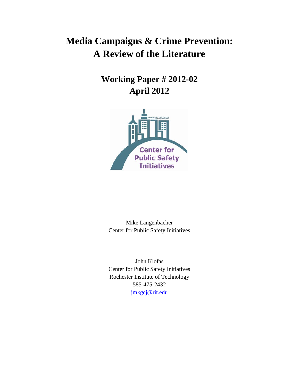# **Media Campaigns & Crime Prevention: A Review of the Literature**

**Working Paper # 2012-02 April 2012**



Mike Langenbacher Center for Public Safety Initiatives

John Klofas Center for Public Safety Initiatives Rochester Institute of Technology 585-475-2432 [jmkgcj@rit.edu](mailto:Gmd3165@rit.edu)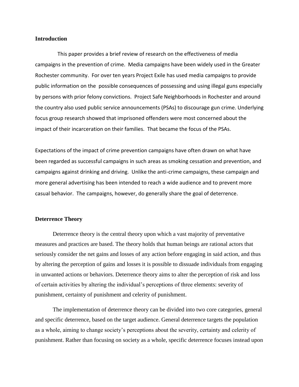## **Introduction**

This paper provides a brief review of research on the effectiveness of media campaigns in the prevention of crime. Media campaigns have been widely used in the Greater Rochester community. For over ten years Project Exile has used media campaigns to provide public information on the possible consequences of possessing and using illegal guns especially by persons with prior felony convictions. Project Safe Neighborhoods in Rochester and around the country also used public service announcements (PSAs) to discourage gun crime. Underlying focus group research showed that imprisoned offenders were most concerned about the impact of their incarceration on their families. That became the focus of the PSAs.

Expectations of the impact of crime prevention campaigns have often drawn on what have been regarded as successful campaigns in such areas as smoking cessation and prevention, and campaigns against drinking and driving. Unlike the anti-crime campaigns, these campaign and more general advertising has been intended to reach a wide audience and to prevent more casual behavior. The campaigns, however, do generally share the goal of deterrence.

## **Deterrence Theory**

Deterrence theory is the central theory upon which a vast majority of preventative measures and practices are based. The theory holds that human beings are rational actors that seriously consider the net gains and losses of any action before engaging in said action, and thus by altering the perception of gains and losses it is possible to dissuade individuals from engaging in unwanted actions or behaviors. Deterrence theory aims to alter the perception of risk and loss of certain activities by altering the individual's perceptions of three elements: severity of punishment, certainty of punishment and celerity of punishment.

The implementation of deterrence theory can be divided into two core categories, general and specific deterrence, based on the target audience. General deterrence targets the population as a whole, aiming to change society's perceptions about the severity, certainty and celerity of punishment. Rather than focusing on society as a whole, specific deterrence focuses instead upon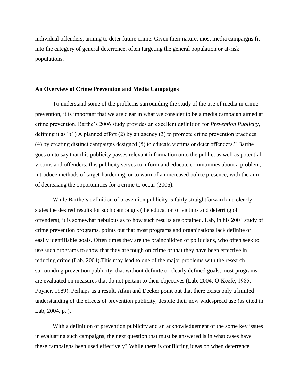individual offenders, aiming to deter future crime. Given their nature, most media campaigns fit into the category of general deterrence, often targeting the general population or at-risk populations.

#### **An Overview of Crime Prevention and Media Campaigns**

To understand some of the problems surrounding the study of the use of media in crime prevention, it is important that we are clear in what we consider to be a media campaign aimed at crime prevention. Barthe's 2006 study provides an excellent definition for *Prevention Publicity*, defining it as "(1) A planned effort (2) by an agency (3) to promote crime prevention practices (4) by creating distinct campaigns designed (5) to educate victims or deter offenders." Barthe goes on to say that this publicity passes relevant information onto the public, as well as potential victims and offenders; this publicity serves to inform and educate communities about a problem, introduce methods of target-hardening, or to warn of an increased police presence, with the aim of decreasing the opportunities for a crime to occur (2006).

While Barthe's definition of prevention publicity is fairly straightforward and clearly states the desired results for such campaigns (the education of victims and deterring of offenders), it is somewhat nebulous as to how such results are obtained. Lab, in his 2004 study of crime prevention programs, points out that most programs and organizations lack definite or easily identifiable goals. Often times they are the brainchildren of politicians, who often seek to use such programs to show that they are tough on crime or that they have been effective in reducing crime (Lab, 2004).This may lead to one of the major problems with the research surrounding prevention publicity: that without definite or clearly defined goals, most programs are evaluated on measures that do not pertain to their objectives (Lab, 2004; O'Keefe, 1985; Poyner, 1989). Perhaps as a result, Atkin and Decker point out that there exists only a limited understanding of the effects of prevention publicity, despite their now widespread use (as cited in Lab, 2004, p. ).

With a definition of prevention publicity and an acknowledgement of the some key issues in evaluating such campaigns, the next question that must be answered is in what cases have these campaigns been used effectively? While there is conflicting ideas on when deterrence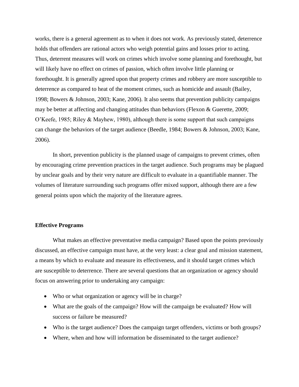works, there is a general agreement as to when it does not work. As previously stated, deterrence holds that offenders are rational actors who weigh potential gains and losses prior to acting. Thus, deterrent measures will work on crimes which involve some planning and forethought, but will likely have no effect on crimes of passion, which often involve little planning or forethought. It is generally agreed upon that property crimes and robbery are more susceptible to deterrence as compared to heat of the moment crimes, such as homicide and assault (Bailey, 1998; Bowers & Johnson, 2003; Kane, 2006). It also seems that prevention publicity campaigns may be better at affecting and changing attitudes than behaviors (Flexon & Guerette, 2009; O'Keefe, 1985; Riley & Mayhew, 1980), although there is some support that such campaigns can change the behaviors of the target audience (Beedle, 1984; Bowers & Johnson, 2003; Kane, 2006).

In short, prevention publicity is the planned usage of campaigns to prevent crimes, often by encouraging crime prevention practices in the target audience. Such programs may be plagued by unclear goals and by their very nature are difficult to evaluate in a quantifiable manner. The volumes of literature surrounding such programs offer mixed support, although there are a few general points upon which the majority of the literature agrees.

# **Effective Programs**

What makes an effective preventative media campaign? Based upon the points previously discussed, an effective campaign must have, at the very least: a clear goal and mission statement, a means by which to evaluate and measure its effectiveness, and it should target crimes which are susceptible to deterrence. There are several questions that an organization or agency should focus on answering prior to undertaking any campaign:

- Who or what organization or agency will be in charge?
- What are the goals of the campaign? How will the campaign be evaluated? How will success or failure be measured?
- Who is the target audience? Does the campaign target offenders, victims or both groups?
- Where, when and how will information be disseminated to the target audience?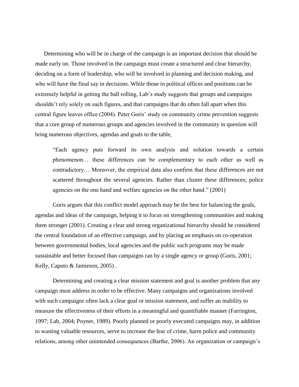Determining who will be in charge of the campaign is an important decision that should be made early on. Those involved in the campaign must create a structured and clear hierarchy, deciding on a form of leadership, who will be involved in planning and decision making, and who will have the final say in decisions. While those in political offices and positions can be extremely helpful in getting the ball rolling, Lab's study suggests that groups and campaigns shouldn't rely solely on such figures, and that campaigns that do often fall apart when this central figure leaves office (2004). Peter Goris' study on community crime prevention suggests that a core group of numerous groups and agencies involved in the community in question will bring numerous objectives, agendas and goals to the table,

"Each agency puts forward its own analysis and solution towards a certain phenomenon… these differences can be complementary to each other as well as contradictory… Moreover, the empirical data also confirm that these differences are not scattered throughout the several agencies. Rather than cluster these differences; police agencies on the one hand and welfare agencies on the other hand." (2001)

Goris argues that this conflict model approach may be the best for balancing the goals, agendas and ideas of the campaign, helping it to focus on strengthening communities and making them stronger (2001). Creating a clear and strong organizational hierarchy should be considered the central foundation of an effective campaign, and by placing an emphasis on co-operation between governmental bodies, local agencies and the public such programs may be made sustainable and better focused than campaigns ran by a single agency or group (Goris, 2001; Kelly, Caputo & Jamieson, 2005) .

Determining and creating a clear mission statement and goal is another problem that any campaign must address in order to be effective. Many campaigns and organizations involved with such campaigns often lack a clear goal or mission statement, and suffer an inability to measure the effectiveness of their efforts in a meaningful and quantifiable manner (Farrington, 1997; Lab, 2004; Poyner, 1989). Poorly planned or poorly executed campaigns may, in addition to wasting valuable resources, serve to increase the fear of crime, harm police and community relations, among other unintended consequences (Barthe, 2006). An organization or campaign's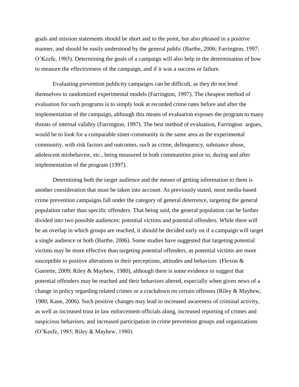goals and mission statements should be short and to the point, but also phrased in a positive manner, and should be easily understood by the general public (Barthe, 2006; Farrington, 1997; O'Keefe, 1985). Determining the goals of a campaign will also help in the determination of how to measure the effectiveness of the campaign, and if it was a success or failure.

Evaluating prevention publicity campaigns can be difficult, as they do not lend themselves to randomized experimental models (Farrington, 1997). The cheapest method of evaluation for such programs is to simply look at recorded crime rates before and after the implementation of the campaign, although this means of evaluation exposes the program to many threats of internal validity (Farrington, 1997). The best method of evaluation, Farrington argues, would be to look for a comparable sister-community in the same area as the experimental community, with risk factors and outcomes, such as crime, delinquency, substance abuse, adolescent misbehavior, etc., being measured in both communities prior to, during and after implementation of the program (1997).

Determining both the target audience and the means of getting information to them is another consideration that must be taken into account. As previously stated, most media-based crime prevention campaigns fall under the category of general deterrence, targeting the general population rather than specific offenders. That being said, the general population can be further divided into two possible audiences: potential victims and potential offenders. While there will be an overlap in which groups are reached, it should be decided early on if a campaign will target a single audience or both (Barthe, 2006). Some studies have suggested that targeting potential victims may be more effective than targeting potential offenders, as potential victims are more susceptible to positive alterations in their perceptions, attitudes and behaviors (Flexon  $\&$ Guerette, 2009; Riley & Mayhew, 1980), although there is some evidence to suggest that potential offenders may be reached and their behaviors altered, especially when given news of a change in policy regarding related crimes or a crackdown on certain offenses (Riley & Mayhew, 1980; Kane, 2006). Such positive changes may lead to increased awareness of criminal activity, as well as increased trust in law enforcement officials along, increased reporting of crimes and suspicious behaviors, and increased participation in crime prevention groups and organizations (O'Keefe, 1985; Riley & Mayhew, 1980).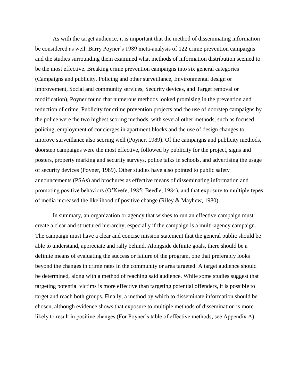As with the target audience, it is important that the method of disseminating information be considered as well. Barry Poyner's 1989 meta-analysis of 122 crime prevention campaigns and the studies surrounding them examined what methods of information distribution seemed to be the most effective. Breaking crime prevention campaigns into six general categories (Campaigns and publicity, Policing and other surveillance, Environmental design or improvement, Social and community services, Security devices, and Target removal or modification), Poyner found that numerous methods looked promising in the prevention and reduction of crime. Publicity for crime prevention projects and the use of doorstep campaigns by the police were the two highest scoring methods, with several other methods, such as focused policing, employment of concierges in apartment blocks and the use of design changes to improve surveillance also scoring well (Poyner, 1989). Of the campaigns and publicity methods, doorstep campaigns were the most effective, followed by publicity for the project, signs and posters, property marking and security surveys, police talks in schools, and advertising the usage of security devices (Poyner, 1989). Other studies have also pointed to public safety announcements (PSAs) and brochures as effective means of disseminating information and promoting positive behaviors (O'Keefe, 1985; Beedle, 1984), and that exposure to multiple types of media increased the likelihood of positive change (Riley & Mayhew, 1980).

In summary, an organization or agency that wishes to run an effective campaign must create a clear and structured hierarchy, especially if the campaign is a multi-agency campaign. The campaign must have a clear and concise mission statement that the general public should be able to understand, appreciate and rally behind. Alongside definite goals, there should be a definite means of evaluating the success or failure of the program, one that preferably looks beyond the changes in crime rates in the community or area targeted. A target audience should be determined, along with a method of reaching said audience. While some studies suggest that targeting potential victims is more effective than targeting potential offenders, it is possible to target and reach both groups. Finally, a method by which to disseminate information should be chosen, although evidence shows that exposure to multiple methods of dissemination is more likely to result in positive changes (For Poyner's table of effective methods, see Appendix A).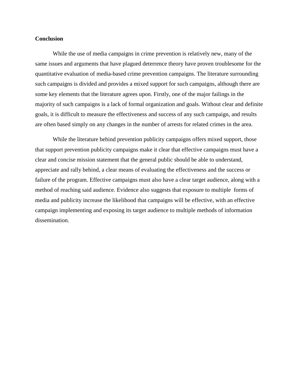## **Conclusion**

While the use of media campaigns in crime prevention is relatively new, many of the same issues and arguments that have plagued deterrence theory have proven troublesome for the quantitative evaluation of media-based crime prevention campaigns. The literature surrounding such campaigns is divided and provides a mixed support for such campaigns, although there are some key elements that the literature agrees upon. Firstly, one of the major failings in the majority of such campaigns is a lack of formal organization and goals. Without clear and definite goals, it is difficult to measure the effectiveness and success of any such campaign, and results are often based simply on any changes in the number of arrests for related crimes in the area.

While the literature behind prevention publicity campaigns offers mixed support, those that support prevention publicity campaigns make it clear that effective campaigns must have a clear and concise mission statement that the general public should be able to understand, appreciate and rally behind, a clear means of evaluating the effectiveness and the success or failure of the program. Effective campaigns must also have a clear target audience, along with a method of reaching said audience. Evidence also suggests that exposure to multiple forms of media and publicity increase the likelihood that campaigns will be effective, with an effective campaign implementing and exposing its target audience to multiple methods of information dissemination.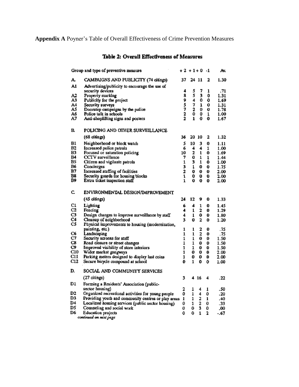**Appendix A** Poyner's Table of Overall Effectiveness of Crime Prevention Measures

# Table 2: Overall Effectiveness of Measures

| Group and type of preventive measure |                                                                                    |              | +2 +1+0 |        | -1     | Av.          |
|--------------------------------------|------------------------------------------------------------------------------------|--------------|---------|--------|--------|--------------|
| A.                                   | CAMPAIGNS AND PUBLICITY (74 citings)                                               | 37           | 24      | 11     | 2      | 1.30         |
| A1                                   | Advertising/publicity to encourage the use of<br>security devices                  | 4            | 5       | 7      | 1      | .71          |
| A2                                   | Property marking                                                                   | 8            | 5       | 3      | 0      | 1.31         |
| АЗ                                   | Publicity for the project                                                          | 9            | 4       | 0      | 0      | 1.69         |
| A4                                   | Security surveys                                                                   |              | 7       | 1      | 0      | 1.31         |
| A5                                   | Doorstep campaigns by the police                                                   |              | ź<br>0  | 0      | 0      | 1.78         |
| A6                                   | Police talk in schools                                                             | 5722         |         | 0      | 1      | 1.00         |
| Α7                                   | Anti-shoplifting signs and posters                                                 |              | 1       | 0      | 0      | 1.67         |
| R                                    | POLICING AND OTHER SURVEILLANCE                                                    |              |         |        |        |              |
|                                      | (68 citings)                                                                       | 36           | 20      | 10     | 2      | 1.32         |
| B1                                   | Neighborhood or block watch                                                        | 5            | 10      | 3      | 0      | 1.11         |
| B2                                   | Increased police patrols                                                           | 6            | 4       | 4      | 1      | 1.00         |
| B3                                   | Focused or saturation policing                                                     | 10           | 2       | 1      | 0      | 1.69         |
| B4                                   | CCTV surveillance                                                                  | 7            | 0       | 1      | 1      | 1.44         |
| B5<br>B6                             | Citizen and vigilante patrols                                                      | 1            | 3       | 1      | 0      | 1.00         |
| В7                                   | Concierges                                                                         | 3<br>2       | 1       | 0      | 0      | 1.75         |
| B8                                   | Increased staffing of facilities<br>Security guards for housing blocks             | $\mathbf{I}$ | 0<br>o  | 0<br>0 | 0<br>0 | 2.00<br>2.00 |
| B9                                   | Extra ticket inspection staff                                                      | 1            | 0       | 0      | 0      | 2.00         |
| c.                                   | ENVIRONMENTAL DESIGN/IMPROVEMENT                                                   |              |         |        |        |              |
|                                      | (45 citings)                                                                       | 24           | 12      | 9      | 0      | 1.33         |
| C1                                   | Lighting                                                                           | 6            | 4       | 1      | 0      | 1.45         |
| C2                                   | Fencing                                                                            | 4            | 1       | 2      | 0      | 1.29         |
|                                      | Design changes to improve surveillance by staff                                    | 4            | 1       | 0      | 0      | 1.80         |
| C3                                   |                                                                                    |              |         |        |        | 1.20         |
| C4                                   | Cleanup of aeighborhood                                                            | 3            | 0       | 2      | 0      |              |
| C5                                   | Physical improvements to housing (modernization,                                   |              |         |        |        |              |
|                                      | painting, etc.)                                                                    | 1            | 1       | 2      | 0      | .75          |
| Œ                                    | Landscaping                                                                        | 1            | ı       | 2      | 0      | .75          |
| C7                                   | Security screens for staff                                                         | 1            | ı       | 0      | 0      | 1.50         |
| C8                                   | Road closure or street changes                                                     | 1            | 1       | 0      | o      | 1.50         |
| C9.<br>C10                           | Improved visibility of store interiors                                             | 1            | 1       | 0      | 0      | 1.50         |
| C11                                  | Wider market gangways                                                              | 1<br>1       | 0<br>0  | 0<br>0 | 0<br>0 | 2.00<br>2.00 |
| C12                                  | Parking meters designed to display last coins<br>Secure bicycle compound at school | 0            | 1       | 0      | 0      | 1.00         |
| D.                                   | SOCIAL AND COMMUNITY SERVICES                                                      |              |         |        |        |              |
|                                      | (27 citings)                                                                       | 3            | 4       | 16     | 4      | .22          |
| D1                                   | Forming a Residents' Association (public-                                          |              |         |        |        |              |
| D2                                   | sector housing)                                                                    | 2            | 1       | 4      | 1      | .50          |
| D3                                   | Organized recreational activities for young people                                 | 0            | 1       | 4      | 0      | .20          |
| D4                                   | Providing youth and community centres or play areas                                | 1<br>0       | 1       | 2      | 1<br>0 | .40          |
| DS                                   | Localized housing services (public sector housing)<br>Counseling and social work   |              | 1       | 2      | 0      | .33<br>.00   |
| D6                                   | Education projects                                                                 | 0<br>0       | 0<br>0  | 3<br>1 | 2      | - 67         |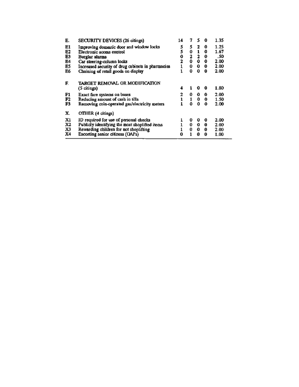| SECURITY DEVICES (26 citings)                     |                                                                                                                                                                                                                                                           | 7           | 5      | 0 | 1.35 |
|---------------------------------------------------|-----------------------------------------------------------------------------------------------------------------------------------------------------------------------------------------------------------------------------------------------------------|-------------|--------|---|------|
|                                                   | 5                                                                                                                                                                                                                                                         | 5           | 2      | 0 | 1.25 |
| Electronic access control                         |                                                                                                                                                                                                                                                           | 0           | 1      | 0 | 1.67 |
| Burglar alarms                                    | 0                                                                                                                                                                                                                                                         | 2           | 2      | 0 | .50  |
|                                                   |                                                                                                                                                                                                                                                           | 0           | 0      | 0 | 2.00 |
| Increased security of drug cabinets in pharmacies |                                                                                                                                                                                                                                                           | 0           | 0      | 0 | 2.00 |
| Chaining of retail goods on display               |                                                                                                                                                                                                                                                           | 0           | 0      | Q | 2.00 |
| TARGET REMOVAL OR MODIFICATION                    |                                                                                                                                                                                                                                                           |             |        |   |      |
|                                                   |                                                                                                                                                                                                                                                           |             |        |   | 1.80 |
|                                                   | 2                                                                                                                                                                                                                                                         | 0           | 0      | 0 | 2.00 |
| Reducing amount of cash in tills                  |                                                                                                                                                                                                                                                           |             | 0      | o | 1.50 |
| Removing coin-operated gas/electricity meters     |                                                                                                                                                                                                                                                           | Ω           | o      | 0 | 2.00 |
| OTHER (4 citings)                                 |                                                                                                                                                                                                                                                           |             |        |   |      |
|                                                   |                                                                                                                                                                                                                                                           | o           | o      | 0 | 2.00 |
|                                                   |                                                                                                                                                                                                                                                           | 0           | 0      | 0 | 2.00 |
|                                                   |                                                                                                                                                                                                                                                           | 0           | 0      | Û | 2.00 |
| Escorting senior citizens (OAPs)                  | O                                                                                                                                                                                                                                                         | 1           | 0      | 0 | 1.00 |
|                                                   | Improving domestic door and window locks<br>Car steering-column locks<br>(5 citings)<br>Exact fare systems on buses<br>ID required for use of personal checks<br>Publicly identifying the most shoplifted items<br>Rewarding children for not shoplifting | 5<br>2<br>4 | 1<br>1 | 0 | 0    |